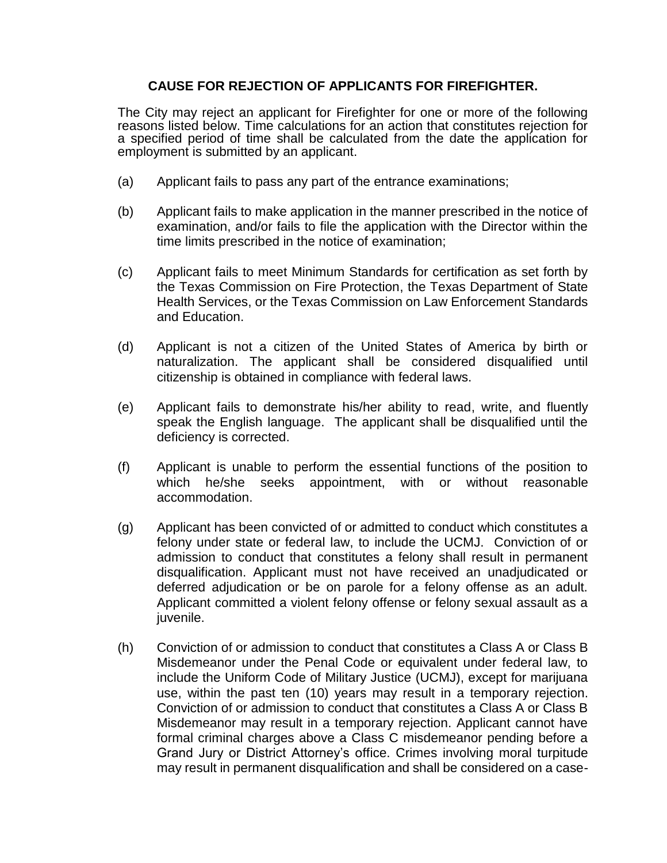## **CAUSE FOR REJECTION OF APPLICANTS FOR FIREFIGHTER.**

The City may reject an applicant for Firefighter for one or more of the following reasons listed below. Time calculations for an action that constitutes rejection for a specified period of time shall be calculated from the date the application for employment is submitted by an applicant.

- (a) Applicant fails to pass any part of the entrance examinations;
- (b) Applicant fails to make application in the manner prescribed in the notice of examination, and/or fails to file the application with the Director within the time limits prescribed in the notice of examination;
- (c) Applicant fails to meet Minimum Standards for certification as set forth by the Texas Commission on Fire Protection, the Texas Department of State Health Services, or the Texas Commission on Law Enforcement Standards and Education.
- (d) Applicant is not a citizen of the United States of America by birth or naturalization. The applicant shall be considered disqualified until citizenship is obtained in compliance with federal laws.
- (e) Applicant fails to demonstrate his/her ability to read, write, and fluently speak the English language. The applicant shall be disqualified until the deficiency is corrected.
- (f) Applicant is unable to perform the essential functions of the position to which he/she seeks appointment, with or without reasonable accommodation.
- (g) Applicant has been convicted of or admitted to conduct which constitutes a felony under state or federal law, to include the UCMJ. Conviction of or admission to conduct that constitutes a felony shall result in permanent disqualification. Applicant must not have received an unadjudicated or deferred adjudication or be on parole for a felony offense as an adult. Applicant committed a violent felony offense or felony sexual assault as a juvenile.
- (h) Conviction of or admission to conduct that constitutes a Class A or Class B Misdemeanor under the Penal Code or equivalent under federal law, to include the Uniform Code of Military Justice (UCMJ), except for marijuana use, within the past ten (10) years may result in a temporary rejection. Conviction of or admission to conduct that constitutes a Class A or Class B Misdemeanor may result in a temporary rejection. Applicant cannot have formal criminal charges above a Class C misdemeanor pending before a Grand Jury or District Attorney's office. Crimes involving moral turpitude may result in permanent disqualification and shall be considered on a case-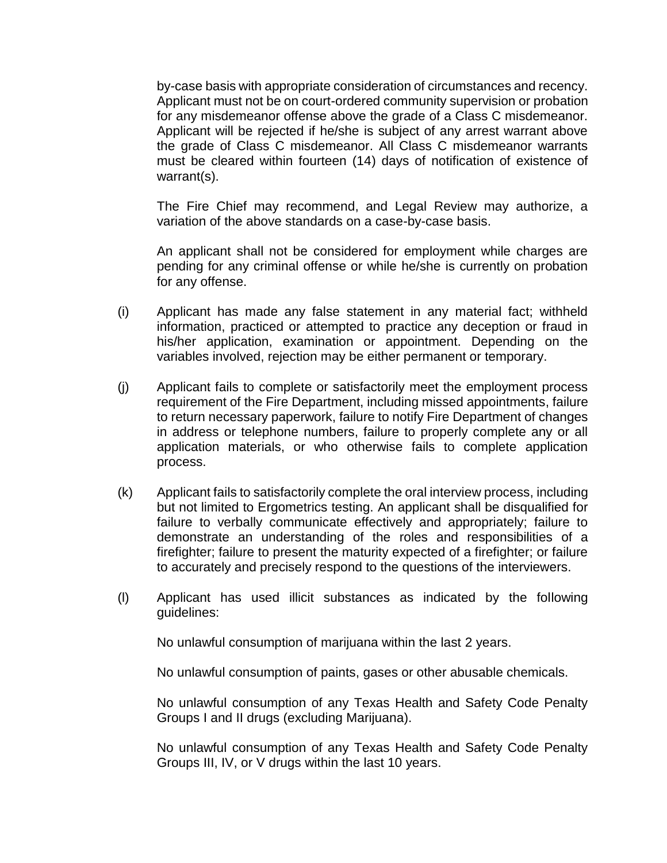by-case basis with appropriate consideration of circumstances and recency. Applicant must not be on court-ordered community supervision or probation for any misdemeanor offense above the grade of a Class C misdemeanor. Applicant will be rejected if he/she is subject of any arrest warrant above the grade of Class C misdemeanor. All Class C misdemeanor warrants must be cleared within fourteen (14) days of notification of existence of warrant(s).

The Fire Chief may recommend, and Legal Review may authorize, a variation of the above standards on a case-by-case basis.

An applicant shall not be considered for employment while charges are pending for any criminal offense or while he/she is currently on probation for any offense.

- (i) Applicant has made any false statement in any material fact; withheld information, practiced or attempted to practice any deception or fraud in his/her application, examination or appointment. Depending on the variables involved, rejection may be either permanent or temporary.
- (j) Applicant fails to complete or satisfactorily meet the employment process requirement of the Fire Department, including missed appointments, failure to return necessary paperwork, failure to notify Fire Department of changes in address or telephone numbers, failure to properly complete any or all application materials, or who otherwise fails to complete application process.
- (k) Applicant fails to satisfactorily complete the oral interview process, including but not limited to Ergometrics testing. An applicant shall be disqualified for failure to verbally communicate effectively and appropriately; failure to demonstrate an understanding of the roles and responsibilities of a firefighter; failure to present the maturity expected of a firefighter; or failure to accurately and precisely respond to the questions of the interviewers.
- (l) Applicant has used illicit substances as indicated by the following guidelines:

No unlawful consumption of marijuana within the last 2 years.

No unlawful consumption of paints, gases or other abusable chemicals.

No unlawful consumption of any Texas Health and Safety Code Penalty Groups I and II drugs (excluding Marijuana).

No unlawful consumption of any Texas Health and Safety Code Penalty Groups III, IV, or V drugs within the last 10 years.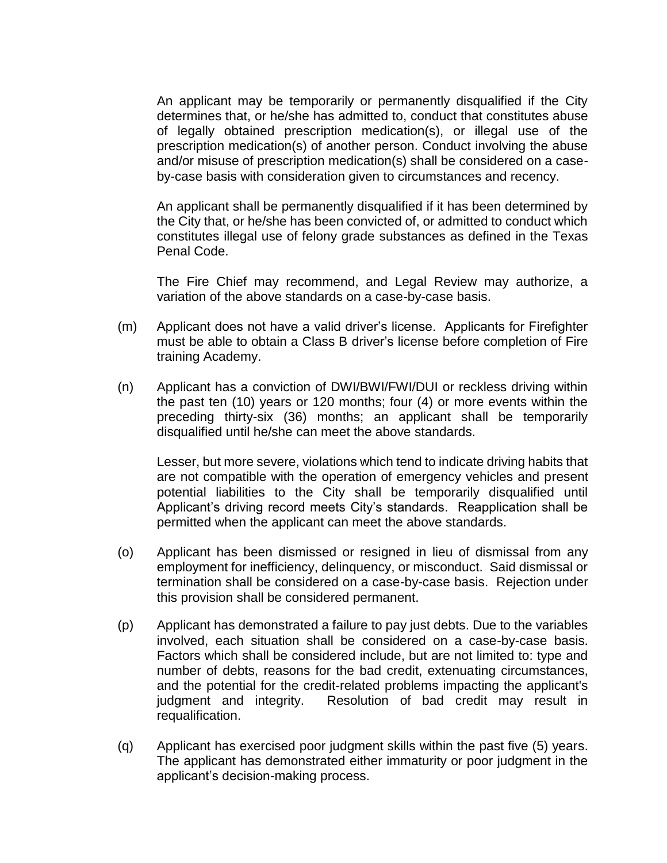An applicant may be temporarily or permanently disqualified if the City determines that, or he/she has admitted to, conduct that constitutes abuse of legally obtained prescription medication(s), or illegal use of the prescription medication(s) of another person. Conduct involving the abuse and/or misuse of prescription medication(s) shall be considered on a caseby-case basis with consideration given to circumstances and recency.

An applicant shall be permanently disqualified if it has been determined by the City that, or he/she has been convicted of, or admitted to conduct which constitutes illegal use of felony grade substances as defined in the Texas Penal Code.

The Fire Chief may recommend, and Legal Review may authorize, a variation of the above standards on a case-by-case basis.

- (m) Applicant does not have a valid driver's license. Applicants for Firefighter must be able to obtain a Class B driver's license before completion of Fire training Academy.
- (n) Applicant has a conviction of DWI/BWI/FWI/DUI or reckless driving within the past ten (10) years or 120 months; four (4) or more events within the preceding thirty-six (36) months; an applicant shall be temporarily disqualified until he/she can meet the above standards.

Lesser, but more severe, violations which tend to indicate driving habits that are not compatible with the operation of emergency vehicles and present potential liabilities to the City shall be temporarily disqualified until Applicant's driving record meets City's standards. Reapplication shall be permitted when the applicant can meet the above standards.

- (o) Applicant has been dismissed or resigned in lieu of dismissal from any employment for inefficiency, delinquency, or misconduct. Said dismissal or termination shall be considered on a case-by-case basis. Rejection under this provision shall be considered permanent.
- (p) Applicant has demonstrated a failure to pay just debts. Due to the variables involved, each situation shall be considered on a case-by-case basis. Factors which shall be considered include, but are not limited to: type and number of debts, reasons for the bad credit, extenuating circumstances, and the potential for the credit-related problems impacting the applicant's judgment and integrity. Resolution of bad credit may result in requalification.
- (q) Applicant has exercised poor judgment skills within the past five (5) years. The applicant has demonstrated either immaturity or poor judgment in the applicant's decision-making process.